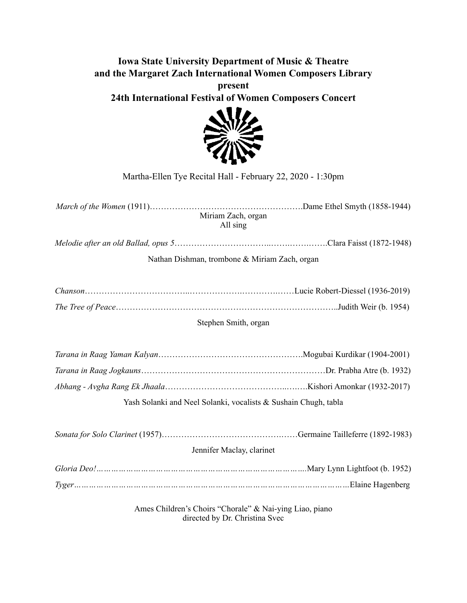# **Iowa State University Department of Music & Theatre and the Margaret Zach International Women Composers Library present 24th International Festival of Women Composers Concert**



Martha-Ellen Tye Recital Hall - February 22, 2020 - 1:30pm

*March of the Women* (1911)……………………………………………….Dame Ethel Smyth (1858-1944) Miriam Zach, organ All sing

*Melodie after an old Ballad, opus 5*……………………………..…….…….…….Clara Faisst (1872-1948)

Nathan Dishman, trombone & Miriam Zach, organ

# Stephen Smith, organ

| Yash Solanki and Neel Solanki, vocalists & Sushain Chugh, tabla |  |
|-----------------------------------------------------------------|--|

| Jennifer Maclay, clarinet |  |
|---------------------------|--|

Ames Children's Choirs "Chorale" & Nai-ying Liao, piano directed by Dr. Christina Svec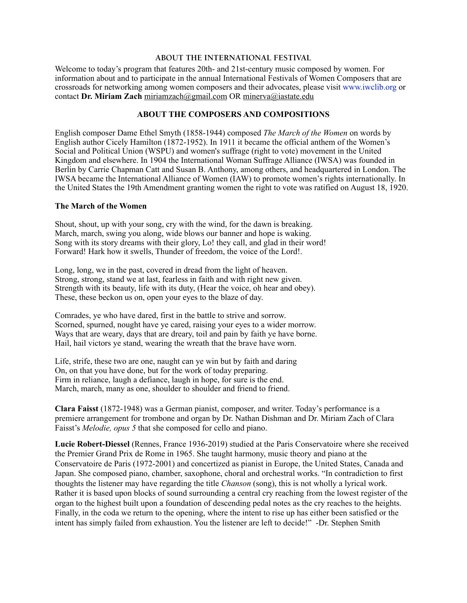#### **ABOUT THE INTERNATIONAL FESTIVAL**

Welcome to today's program that features 20th- and 21st-century music composed by women. For information about and to participate in the annual International Festivals of Women Composers that are crossroads for networking among women composers and their advocates, please visit www.iwclib.org or contact **Dr. Miriam Zach** [miriamzach@gmail.com](mailto:miriamzach@gmail.com) OR [minerva@iastate.edu](mailto:minerva@iastate.edu)

## **ABOUT THE COMPOSERS AND COMPOSITIONS**

English composer Dame Ethel Smyth (1858-1944) composed *The March of the Women* on words by English author Cicely Hamilton (1872-1952). In 1911 it became the official anthem of the Women's Social and Political Union (WSPU) and women's suffrage (right to vote) movement in the United Kingdom and elsewhere. In 1904 the International Woman Suffrage Alliance (IWSA) was founded in Berlin by Carrie Chapman Catt and Susan B. Anthony, among others, and headquartered in London. The IWSA became the International Alliance of Women (IAW) to promote women's rights internationally. In the United States the 19th Amendment granting women the right to vote was ratified on August 18, 1920.

#### **The March of the Women**

Shout, shout, up with your song, cry with the wind, for the dawn is breaking. March, march, swing you along, wide blows our banner and hope is waking. Song with its story dreams with their glory, Lo! they call, and glad in their word! Forward! Hark how it swells, Thunder of freedom, the voice of the Lord!.

Long, long, we in the past, covered in dread from the light of heaven. Strong, strong, stand we at last, fearless in faith and with right new given. Strength with its beauty, life with its duty, (Hear the voice, oh hear and obey). These, these beckon us on, open your eyes to the blaze of day.

Comrades, ye who have dared, first in the battle to strive and sorrow. Scorned, spurned, nought have ye cared, raising your eyes to a wider morrow. Ways that are weary, days that are dreary, toil and pain by faith ye have borne. Hail, hail victors ye stand, wearing the wreath that the brave have worn.

Life, strife, these two are one, naught can ye win but by faith and daring On, on that you have done, but for the work of today preparing. Firm in reliance, laugh a defiance, laugh in hope, for sure is the end. March, march, many as one, shoulder to shoulder and friend to friend.

**Clara Faisst** (1872-1948) was a German pianist, composer, and writer. Today's performance is a premiere arrangement for trombone and organ by Dr. Nathan Dishman and Dr. Miriam Zach of Clara Faisst's *Melodie, opus 5* that she composed for cello and piano.

**Lucie Robert-Diessel** (Rennes, France 1936-2019) studied at the Paris Conservatoire where she received the Premier Grand Prix de Rome in 1965. She taught harmony, music theory and piano at the Conservatoire de Paris (1972-2001) and concertized as pianist in Europe, the United States, Canada and Japan. She composed piano, chamber, saxophone, choral and orchestral works. "In contradiction to first thoughts the listener may have regarding the title *Chanson* (song), this is not wholly a lyrical work. Rather it is based upon blocks of sound surrounding a central cry reaching from the lowest register of the organ to the highest built upon a foundation of descending pedal notes as the cry reaches to the heights. Finally, in the coda we return to the opening, where the intent to rise up has either been satisfied or the intent has simply failed from exhaustion. You the listener are left to decide!" -Dr. Stephen Smith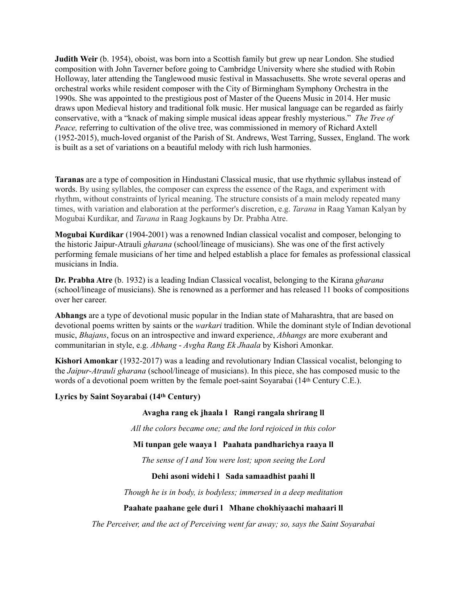**Judith Weir** (b. 1954), oboist, was born into a Scottish family but grew up near London. She studied composition with John Taverner before going to Cambridge University where she studied with Robin Holloway, later attending the Tanglewood music festival in Massachusetts. She wrote several operas and orchestral works while resident composer with the City of Birmingham Symphony Orchestra in the 1990s. She was appointed to the prestigious post of Master of the Queens Music in 2014. Her music draws upon Medieval history and traditional folk music. Her musical language can be regarded as fairly conservative, with a "knack of making simple musical ideas appear freshly mysterious." *The Tree of Peace,* referring to cultivation of the olive tree, was commissioned in memory of Richard Axtell (1952-2015), much-loved organist of the Parish of St. Andrews, West Tarring, Sussex, England. The work is built as a set of variations on a beautiful melody with rich lush harmonies.

**Taranas** are a type of composition in Hindustani Classical music, that use rhythmic syllabus instead of words. By using syllables, the composer can express the essence of the Raga, and experiment with rhythm, without constraints of lyrical meaning. The structure consists of a main melody repeated many times, with variation and elaboration at the performer's discretion, e.g. *Tarana* in Raag Yaman Kalyan by Mogubai Kurdikar, and *Tarana* in Raag Jogkauns by Dr. Prabha Atre.

**Mogubai Kurdikar** (1904-2001) was a renowned Indian classical vocalist and composer, belonging to the historic Jaipur-Atrauli *gharana* (school/lineage of musicians). She was one of the first actively performing female musicians of her time and helped establish a place for females as professional classical musicians in India.

**Dr. Prabha Atre** (b. 1932) is a leading Indian Classical vocalist, belonging to the Kirana *gharana*  (school/lineage of musicians). She is renowned as a performer and has released 11 books of compositions over her career.

**Abhangs** are a type of devotional music popular in the Indian state of Maharashtra, that are based on devotional poems written by saints or the *warkari* tradition. While the dominant style of Indian devotional music, *Bhajans*, focus on an introspective and inward experience, *Abhangs* are more exuberant and communitarian in style, e.g. *Abhang* - *Avgha Rang Ek Jhaala* by Kishori Amonkar.

**Kishori Amonkar** (1932-2017) was a leading and revolutionary Indian Classical vocalist, belonging to the *Jaipur-Atrauli gharana* (school/lineage of musicians). In this piece, she has composed music to the words of a devotional poem written by the female poet-saint Soyarabai (14<sup>th</sup> Century C.E.).

#### **Lyrics by Saint Soyarabai (14th Century)**

#### **Avagha rang ek jhaala l Rangi rangala shrirang ll**

*All the colors became one; and the lord rejoiced in this color* 

## **Mi tunpan gele waaya l Paahata pandharichya raaya ll**

*The sense of I and You were lost; upon seeing the Lord* 

## **Dehi asoni widehi l Sada samaadhist paahi ll**

*Though he is in body, is bodyless; immersed in a deep meditation* 

## **Paahate paahane gele duri l Mhane chokhiyaachi mahaari ll**

*The Perceiver, and the act of Perceiving went far away; so, says the Saint Soyarabai*